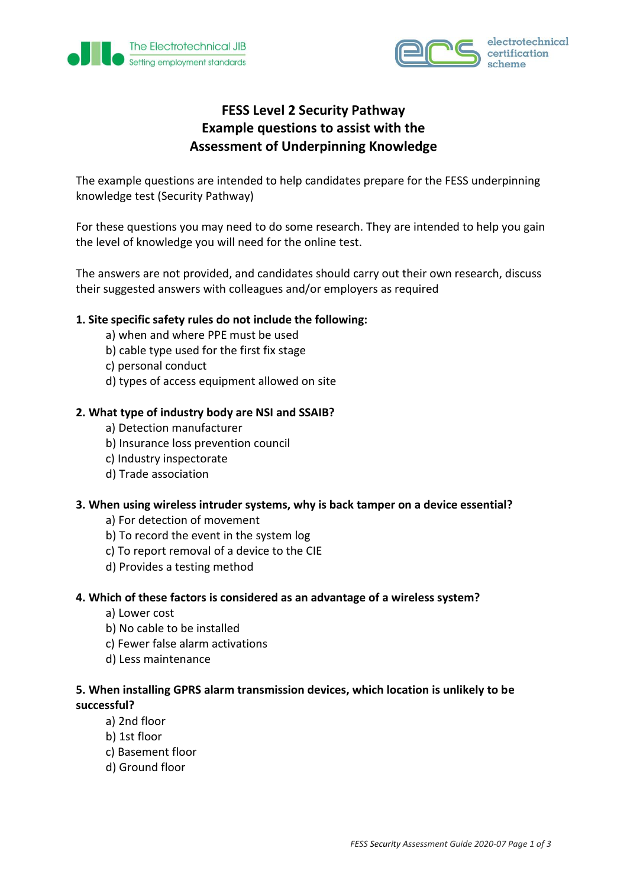



# **FESS Level 2 Security Pathway Example questions to assist with the Assessment of Underpinning Knowledge**

The example questions are intended to help candidates prepare for the FESS underpinning knowledge test (Security Pathway)

For these questions you may need to do some research. They are intended to help you gain the level of knowledge you will need for the online test.

The answers are not provided, and candidates should carry out their own research, discuss their suggested answers with colleagues and/or employers as required

## **1. Site specific safety rules do not include the following:**

- a) when and where PPE must be used
- b) cable type used for the first fix stage
- c) personal conduct
- d) types of access equipment allowed on site

#### **2. What type of industry body are NSI and SSAIB?**

- a) Detection manufacturer
- b) Insurance loss prevention council
- c) Industry inspectorate
- d) Trade association

#### **3. When using wireless intruder systems, why is back tamper on a device essential?**

- a) For detection of movement
- b) To record the event in the system log
- c) To report removal of a device to the CIE
- d) Provides a testing method

#### **4. Which of these factors is considered as an advantage of a wireless system?**

- a) Lower cost
- b) No cable to be installed
- c) Fewer false alarm activations
- d) Less maintenance

## **5. When installing GPRS alarm transmission devices, which location is unlikely to be successful?**

- a) 2nd floor
- b) 1st floor
- c) Basement floor
- d) Ground floor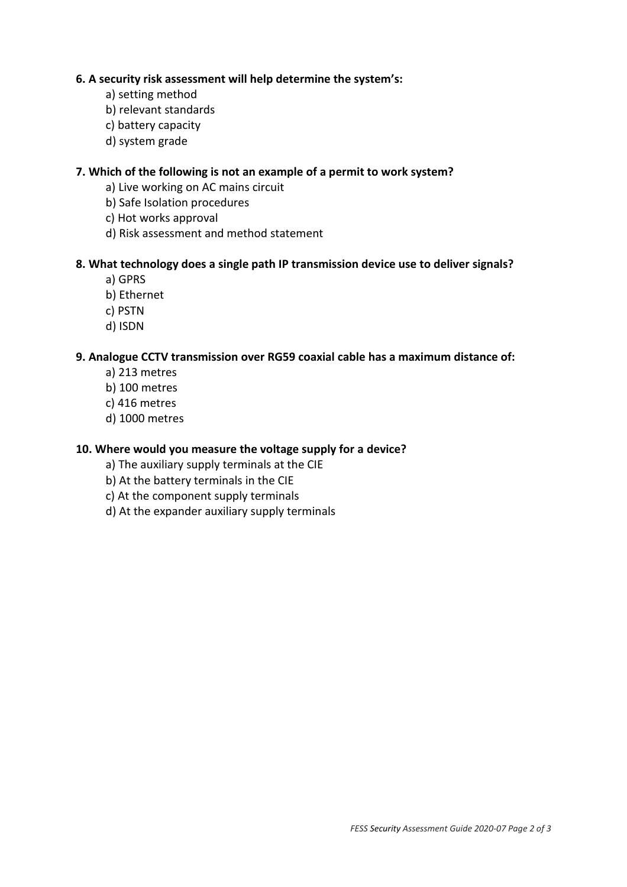## **6. A security risk assessment will help determine the system's:**

- a) setting method
- b) relevant standards
- c) battery capacity
- d) system grade

## **7. Which of the following is not an example of a permit to work system?**

- a) Live working on AC mains circuit
- b) Safe Isolation procedures
- c) Hot works approval
- d) Risk assessment and method statement

#### **8. What technology does a single path IP transmission device use to deliver signals?**

- a) GPRS
- b) Ethernet
- c) PSTN
- d) ISDN

#### **9. Analogue CCTV transmission over RG59 coaxial cable has a maximum distance of:**

- a) 213 metres
- b) 100 metres
- c) 416 metres
- d) 1000 metres

## **10. Where would you measure the voltage supply for a device?**

- a) The auxiliary supply terminals at the CIE
- b) At the battery terminals in the CIE
- c) At the component supply terminals
- d) At the expander auxiliary supply terminals